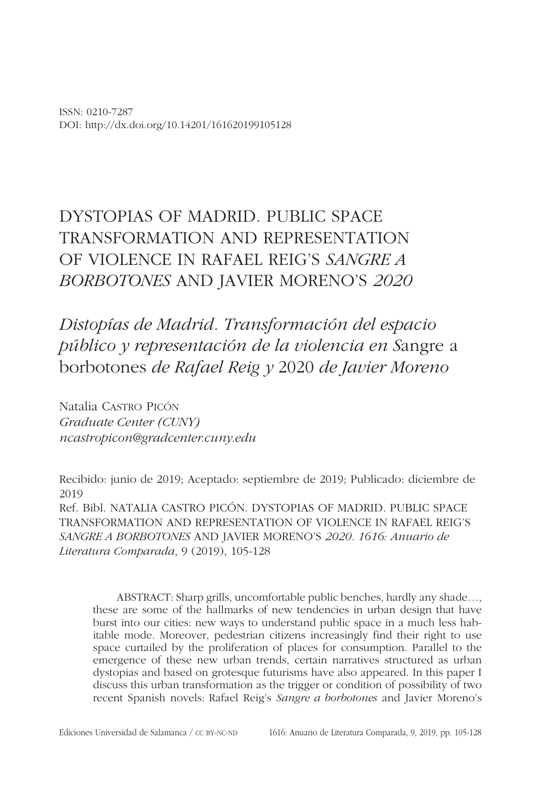ISSN: 0210-7287 DOI: http://dx.doi.org/10.14201/161620199105128

# DYSTOPIAS OF MADRID. PUBLIC SPACE TRANSFORMATION AND REPRESENTATION OF VIOLENCE IN RAFAEL REIG'S *SANGRE A BORBOTONES* AND JAVIER MORENO'S *2020*

*Distopías de Madrid. Transformación del espacio público y representación de la violencia en S*angre a borbotones *de Rafael Reig y* 2020 *de Javier Moreno*

Natalia Castro Picón *Graduate Center (CUNY) ncastropicon@gradcenter.cuny.edu*

Recibido: junio de 2019; Aceptado: septiembre de 2019; Publicado: diciembre de 2019 Ref. Bibl. NATALIA CASTRO PICÓN. DYSTOPIAS OF MADRID. PUBLIC SPACE TRANSFORMATION AND REPRESENTATION OF VIOLENCE IN RAFAEL REIG'S *SANGRE A BORBOTONES* AND JAVIER MORENO'S *2020. 1616: Anuario de Literatura Comparada*, 9 (2019), 105-128

ABSTRACT: Sharp grills, uncomfortable public benches, hardly any shade…, these are some of the hallmarks of new tendencies in urban design that have burst into our cities: new ways to understand public space in a much less habitable mode. Moreover, pedestrian citizens increasingly find their right to use space curtailed by the proliferation of places for consumption. Parallel to the emergence of these new urban trends, certain narratives structured as urban dystopias and based on grotesque futurisms have also appeared. In this paper I discuss this urban transformation as the trigger or condition of possibility of two recent Spanish novels: Rafael Reig's *Sangre a borbotones* and Javier Moreno's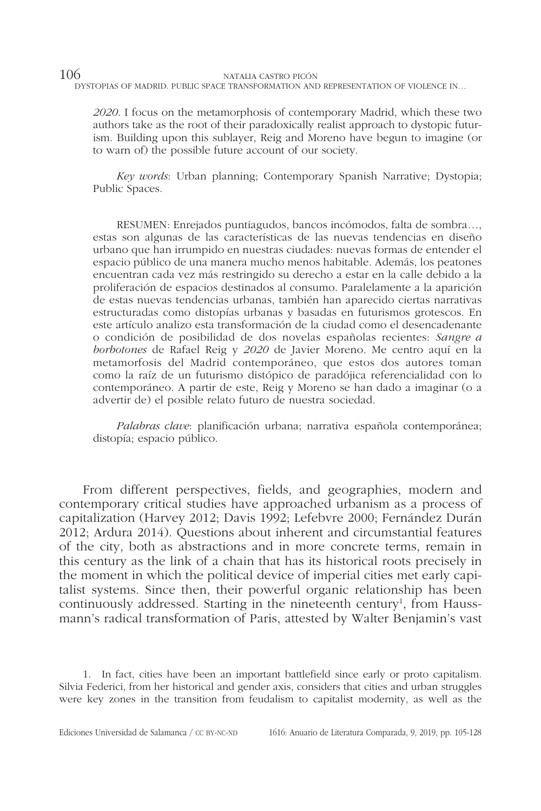*2020*. I focus on the metamorphosis of contemporary Madrid, which these two authors take as the root of their paradoxically realist approach to dystopic futurism. Building upon this sublayer, Reig and Moreno have begun to imagine (or to warn of) the possible future account of our society.

*Key words*: Urban planning; Contemporary Spanish Narrative; Dystopia; Public Spaces.

RESUMEN: Enrejados puntiagudos, bancos incómodos, falta de sombra…, estas son algunas de las características de las nuevas tendencias en diseño urbano que han irrumpido en nuestras ciudades: nuevas formas de entender el espacio público de una manera mucho menos habitable. Además, los peatones encuentran cada vez más restringido su derecho a estar en la calle debido a la proliferación de espacios destinados al consumo. Paralelamente a la aparición de estas nuevas tendencias urbanas, también han aparecido ciertas narrativas estructuradas como distopías urbanas y basadas en futurismos grotescos. En este artículo analizo esta transformación de la ciudad como el desencadenante o condición de posibilidad de dos novelas españolas recientes: *Sangre a borbotones* de Rafael Reig y *2020* de Javier Moreno. Me centro aquí en la metamorfosis del Madrid contemporáneo, que estos dos autores toman como la raíz de un futurismo distópico de paradójica referencialidad con lo contemporáneo. A partir de este, Reig y Moreno se han dado a imaginar (o a advertir de) el posible relato futuro de nuestra sociedad.

*Palabras clave*: planificación urbana; narrativa española contemporánea; distopía; espacio público.

From different perspectives, fields, and geographies, modern and contemporary critical studies have approached urbanism as a process of capitalization (Harvey 2012; Davis 1992; Lefebvre 2000; Fernández Durán 2012; Ardura 2014). Questions about inherent and circumstantial features of the city, both as abstractions and in more concrete terms, remain in this century as the link of a chain that has its historical roots precisely in the moment in which the political device of imperial cities met early capitalist systems. Since then, their powerful organic relationship has been continuously addressed. Starting in the nineteenth century<sup>1</sup>, from Haussmann's radical transformation of Paris, attested by Walter Benjamin's vast

1. In fact, cities have been an important battlefield since early or proto capitalism. Silvia Federici, from her historical and gender axis, considers that cities and urban struggles were key zones in the transition from feudalism to capitalist modernity, as well as the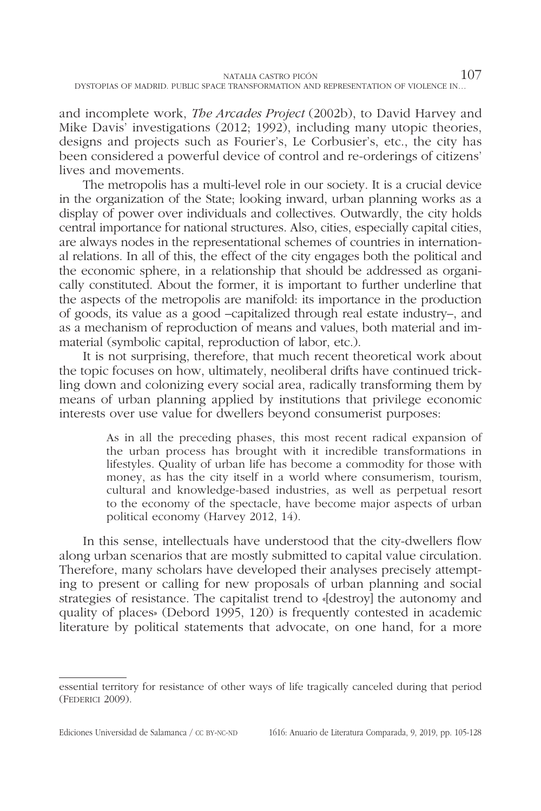and incomplete work, *The Arcades Project* (2002b), to David Harvey and Mike Davis' investigations (2012; 1992), including many utopic theories, designs and projects such as Fourier's, Le Corbusier's, etc., the city has been considered a powerful device of control and re-orderings of citizens' lives and movements.

The metropolis has a multi-level role in our society. It is a crucial device in the organization of the State; looking inward, urban planning works as a display of power over individuals and collectives. Outwardly, the city holds central importance for national structures. Also, cities, especially capital cities, are always nodes in the representational schemes of countries in international relations. In all of this, the effect of the city engages both the political and the economic sphere, in a relationship that should be addressed as organically constituted. About the former, it is important to further underline that the aspects of the metropolis are manifold: its importance in the production of goods, its value as a good –capitalized through real estate industry–, and as a mechanism of reproduction of means and values, both material and immaterial (symbolic capital, reproduction of labor, etc.).

It is not surprising, therefore, that much recent theoretical work about the topic focuses on how, ultimately, neoliberal drifts have continued trickling down and colonizing every social area, radically transforming them by means of urban planning applied by institutions that privilege economic interests over use value for dwellers beyond consumerist purposes:

> As in all the preceding phases, this most recent radical expansion of the urban process has brought with it incredible transformations in lifestyles. Quality of urban life has become a commodity for those with money, as has the city itself in a world where consumerism, tourism, cultural and knowledge-based industries, as well as perpetual resort to the economy of the spectacle, have become major aspects of urban political economy (Harvey 2012, 14).

In this sense, intellectuals have understood that the city-dwellers flow along urban scenarios that are mostly submitted to capital value circulation. Therefore, many scholars have developed their analyses precisely attempting to present or calling for new proposals of urban planning and social strategies of resistance. The capitalist trend to «[destroy] the autonomy and quality of places» (Debord 1995, 120) is frequently contested in academic literature by political statements that advocate, on one hand, for a more

essential territory for resistance of other ways of life tragically canceled during that period (Federici 2009).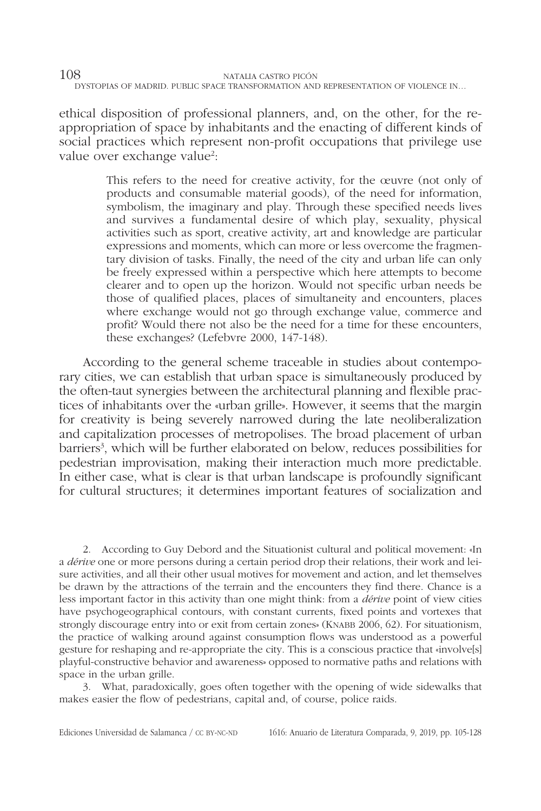ethical disposition of professional planners, and, on the other, for the reappropriation of space by inhabitants and the enacting of different kinds of social practices which represent non-profit occupations that privilege use value over exchange value<sup>2</sup>:

> This refers to the need for creative activity, for the œuvre (not only of products and consumable material goods), of the need for information, symbolism, the imaginary and play. Through these specified needs lives and survives a fundamental desire of which play, sexuality, physical activities such as sport, creative activity, art and knowledge are particular expressions and moments, which can more or less overcome the fragmentary division of tasks. Finally, the need of the city and urban life can only be freely expressed within a perspective which here attempts to become clearer and to open up the horizon. Would not specific urban needs be those of qualified places, places of simultaneity and encounters, places where exchange would not go through exchange value, commerce and profit? Would there not also be the need for a time for these encounters, these exchanges? (Lefebvre 2000, 147-148).

According to the general scheme traceable in studies about contemporary cities, we can establish that urban space is simultaneously produced by the often-taut synergies between the architectural planning and flexible practices of inhabitants over the «urban grille». However, it seems that the margin for creativity is being severely narrowed during the late neoliberalization and capitalization processes of metropolises. The broad placement of urban barriers<sup>3</sup>, which will be further elaborated on below, reduces possibilities for pedestrian improvisation, making their interaction much more predictable. In either case, what is clear is that urban landscape is profoundly significant for cultural structures; it determines important features of socialization and

2. According to Guy Debord and the Situationist cultural and political movement: «In a *dérive* one or more persons during a certain period drop their relations, their work and leisure activities, and all their other usual motives for movement and action, and let themselves be drawn by the attractions of the terrain and the encounters they find there. Chance is a less important factor in this activity than one might think: from a *dérive* point of view cities have psychogeographical contours, with constant currents, fixed points and vortexes that strongly discourage entry into or exit from certain zones» (KNABB 2006, 62). For situationism, the practice of walking around against consumption flows was understood as a powerful gesture for reshaping and re-appropriate the city. This is a conscious practice that «involve[s] playful-constructive behavior and awareness» opposed to normative paths and relations with space in the urban grille.

3. What, paradoxically, goes often together with the opening of wide sidewalks that makes easier the flow of pedestrians, capital and, of course, police raids.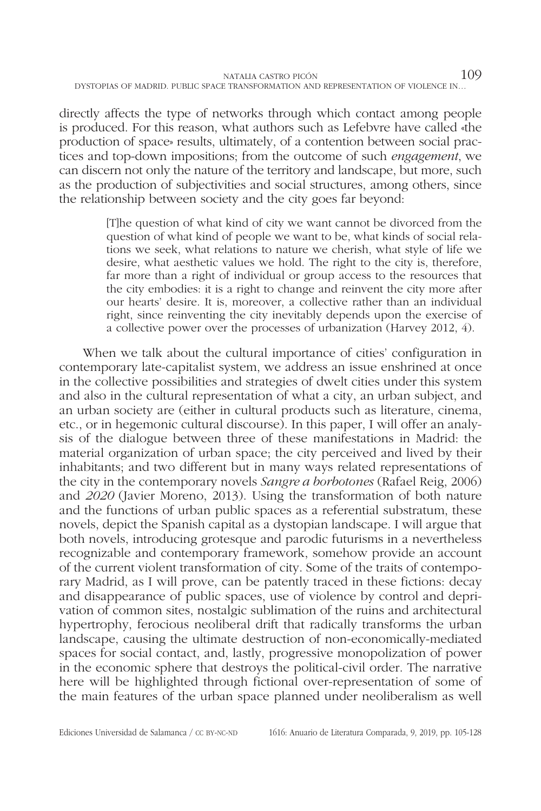directly affects the type of networks through which contact among people is produced. For this reason, what authors such as Lefebvre have called «the production of space» results, ultimately, of a contention between social practices and top-down impositions; from the outcome of such *engagement*, we can discern not only the nature of the territory and landscape, but more, such as the production of subjectivities and social structures, among others, since the relationship between society and the city goes far beyond:

> [T]he question of what kind of city we want cannot be divorced from the question of what kind of people we want to be, what kinds of social relations we seek, what relations to nature we cherish, what style of life we desire, what aesthetic values we hold. The right to the city is, therefore, far more than a right of individual or group access to the resources that the city embodies: it is a right to change and reinvent the city more after our hearts' desire. It is, moreover, a collective rather than an individual right, since reinventing the city inevitably depends upon the exercise of a collective power over the processes of urbanization (Harvey 2012, 4).

When we talk about the cultural importance of cities' configuration in contemporary late-capitalist system, we address an issue enshrined at once in the collective possibilities and strategies of dwelt cities under this system and also in the cultural representation of what a city, an urban subject, and an urban society are (either in cultural products such as literature, cinema, etc., or in hegemonic cultural discourse). In this paper, I will offer an analysis of the dialogue between three of these manifestations in Madrid: the material organization of urban space; the city perceived and lived by their inhabitants; and two different but in many ways related representations of the city in the contemporary novels *Sangre a borbotones* (Rafael Reig, 2006) and *2020* (Javier Moreno, 2013). Using the transformation of both nature and the functions of urban public spaces as a referential substratum, these novels, depict the Spanish capital as a dystopian landscape. I will argue that both novels, introducing grotesque and parodic futurisms in a nevertheless recognizable and contemporary framework, somehow provide an account of the current violent transformation of city. Some of the traits of contemporary Madrid, as I will prove, can be patently traced in these fictions: decay and disappearance of public spaces, use of violence by control and deprivation of common sites, nostalgic sublimation of the ruins and architectural hypertrophy, ferocious neoliberal drift that radically transforms the urban landscape, causing the ultimate destruction of non-economically-mediated spaces for social contact, and, lastly, progressive monopolization of power in the economic sphere that destroys the political-civil order. The narrative here will be highlighted through fictional over-representation of some of the main features of the urban space planned under neoliberalism as well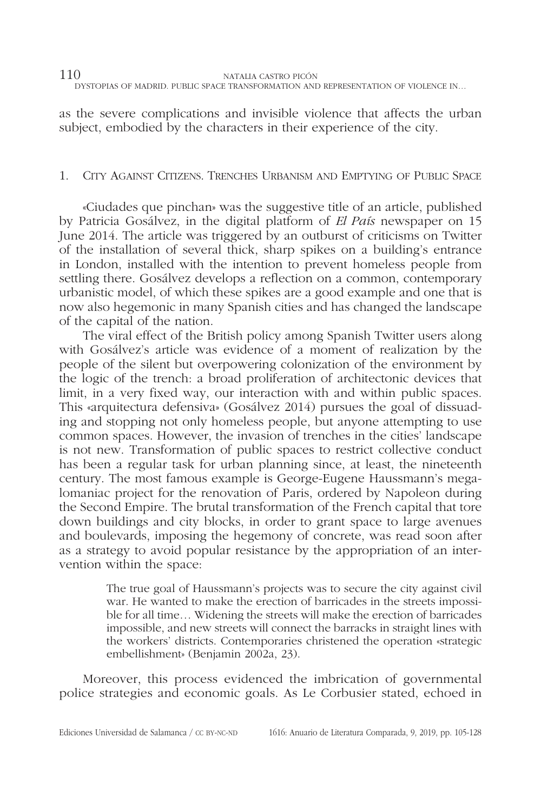as the severe complications and invisible violence that affects the urban subject, embodied by the characters in their experience of the city.

## 1. City Against Citizens. Trenches Urbanism and Emptying of Public Space

«Ciudades que pinchan» was the suggestive title of an article, published by Patricia Gosálvez, in the digital platform of *El País* newspaper on 15 June 2014. The article was triggered by an outburst of criticisms on Twitter of the installation of several thick, sharp spikes on a building's entrance in London, installed with the intention to prevent homeless people from settling there. Gosálvez develops a reflection on a common, contemporary urbanistic model, of which these spikes are a good example and one that is now also hegemonic in many Spanish cities and has changed the landscape of the capital of the nation.

The viral effect of the British policy among Spanish Twitter users along with Gosálvez's article was evidence of a moment of realization by the people of the silent but overpowering colonization of the environment by the logic of the trench: a broad proliferation of architectonic devices that limit, in a very fixed way, our interaction with and within public spaces. This «arquitectura defensiva» (Gosálvez 2014) pursues the goal of dissuading and stopping not only homeless people, but anyone attempting to use common spaces. However, the invasion of trenches in the cities' landscape is not new. Transformation of public spaces to restrict collective conduct has been a regular task for urban planning since, at least, the nineteenth century. The most famous example is George-Eugene Haussmann's megalomaniac project for the renovation of Paris, ordered by Napoleon during the Second Empire. The brutal transformation of the French capital that tore down buildings and city blocks, in order to grant space to large avenues and boulevards, imposing the hegemony of concrete, was read soon after as a strategy to avoid popular resistance by the appropriation of an intervention within the space:

> The true goal of Haussmann's projects was to secure the city against civil war. He wanted to make the erection of barricades in the streets impossible for all time… Widening the streets will make the erection of barricades impossible, and new streets will connect the barracks in straight lines with the workers' districts. Contemporaries christened the operation «strategic embellishment» (Benjamin 2002a, 23).

Moreover, this process evidenced the imbrication of governmental police strategies and economic goals. As Le Corbusier stated, echoed in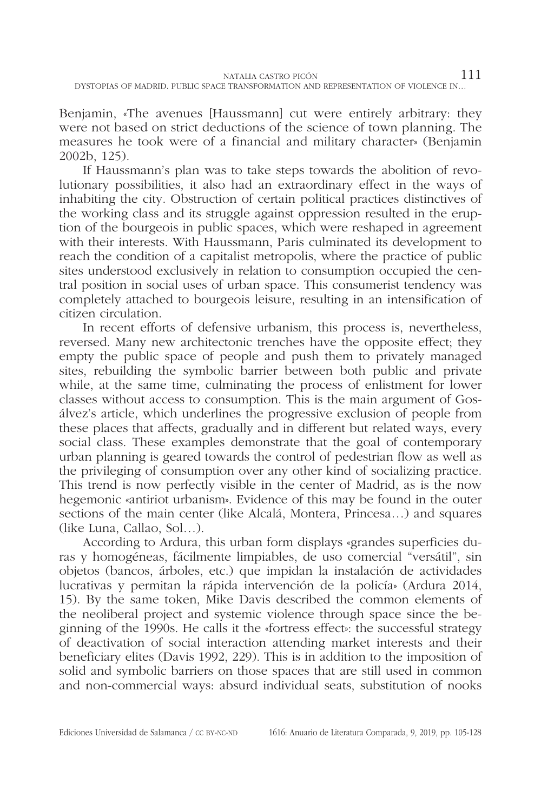Benjamin, «The avenues [Haussmann] cut were entirely arbitrary: they were not based on strict deductions of the science of town planning. The measures he took were of a financial and military character» (Benjamin 2002b, 125).

If Haussmann's plan was to take steps towards the abolition of revolutionary possibilities, it also had an extraordinary effect in the ways of inhabiting the city. Obstruction of certain political practices distinctives of the working class and its struggle against oppression resulted in the eruption of the bourgeois in public spaces, which were reshaped in agreement with their interests. With Haussmann, Paris culminated its development to reach the condition of a capitalist metropolis, where the practice of public sites understood exclusively in relation to consumption occupied the central position in social uses of urban space. This consumerist tendency was completely attached to bourgeois leisure, resulting in an intensification of citizen circulation.

In recent efforts of defensive urbanism, this process is, nevertheless, reversed. Many new architectonic trenches have the opposite effect; they empty the public space of people and push them to privately managed sites, rebuilding the symbolic barrier between both public and private while, at the same time, culminating the process of enlistment for lower classes without access to consumption. This is the main argument of Gosálvez's article, which underlines the progressive exclusion of people from these places that affects, gradually and in different but related ways, every social class. These examples demonstrate that the goal of contemporary urban planning is geared towards the control of pedestrian flow as well as the privileging of consumption over any other kind of socializing practice. This trend is now perfectly visible in the center of Madrid, as is the now hegemonic «antiriot urbanism». Evidence of this may be found in the outer sections of the main center (like Alcalá, Montera, Princesa…) and squares (like Luna, Callao, Sol…).

According to Ardura, this urban form displays «grandes superficies duras y homogéneas, fácilmente limpiables, de uso comercial "versátil", sin objetos (bancos, árboles, etc.) que impidan la instalación de actividades lucrativas y permitan la rápida intervención de la policía» (Ardura 2014, 15). By the same token, Mike Davis described the common elements of the neoliberal project and systemic violence through space since the beginning of the 1990s. He calls it the «fortress effect»: the successful strategy of deactivation of social interaction attending market interests and their beneficiary elites (Davis 1992, 229). This is in addition to the imposition of solid and symbolic barriers on those spaces that are still used in common and non-commercial ways: absurd individual seats, substitution of nooks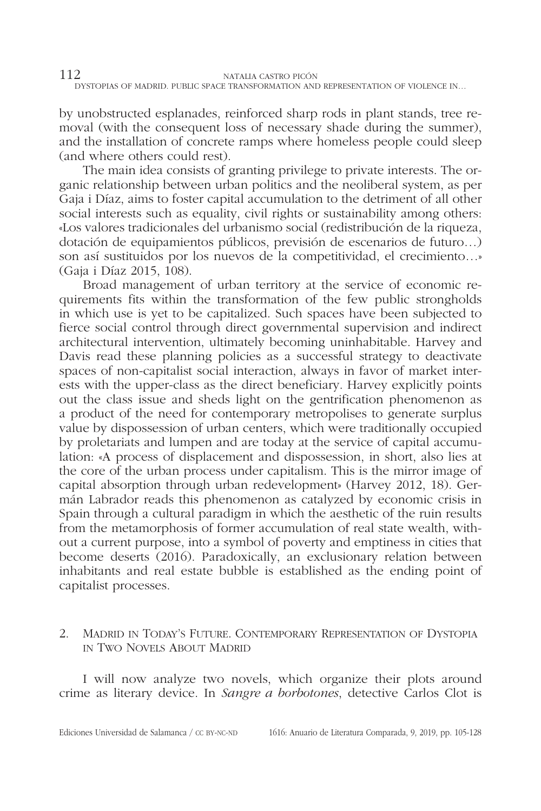by unobstructed esplanades, reinforced sharp rods in plant stands, tree removal (with the consequent loss of necessary shade during the summer), and the installation of concrete ramps where homeless people could sleep (and where others could rest).

The main idea consists of granting privilege to private interests. The organic relationship between urban politics and the neoliberal system, as per Gaja i Díaz, aims to foster capital accumulation to the detriment of all other social interests such as equality, civil rights or sustainability among others: «Los valores tradicionales del urbanismo social (redistribución de la riqueza, dotación de equipamientos públicos, previsión de escenarios de futuro…) son así sustituidos por los nuevos de la competitividad, el crecimiento…» (Gaja i Díaz 2015, 108).

Broad management of urban territory at the service of economic requirements fits within the transformation of the few public strongholds in which use is yet to be capitalized. Such spaces have been subjected to fierce social control through direct governmental supervision and indirect architectural intervention, ultimately becoming uninhabitable. Harvey and Davis read these planning policies as a successful strategy to deactivate spaces of non-capitalist social interaction, always in favor of market interests with the upper-class as the direct beneficiary. Harvey explicitly points out the class issue and sheds light on the gentrification phenomenon as a product of the need for contemporary metropolises to generate surplus value by dispossession of urban centers, which were traditionally occupied by proletariats and lumpen and are today at the service of capital accumulation: «A process of displacement and dispossession, in short, also lies at the core of the urban process under capitalism. This is the mirror image of capital absorption through urban redevelopment» (Harvey 2012, 18). Germán Labrador reads this phenomenon as catalyzed by economic crisis in Spain through a cultural paradigm in which the aesthetic of the ruin results from the metamorphosis of former accumulation of real state wealth, without a current purpose, into a symbol of poverty and emptiness in cities that become deserts (2016). Paradoxically, an exclusionary relation between inhabitants and real estate bubble is established as the ending point of capitalist processes.

## 2. Madrid in Today's Future. Contemporary Representation of Dystopia in Two Novels About Madrid

I will now analyze two novels, which organize their plots around crime as literary device. In *Sangre a borbotones*, detective Carlos Clot is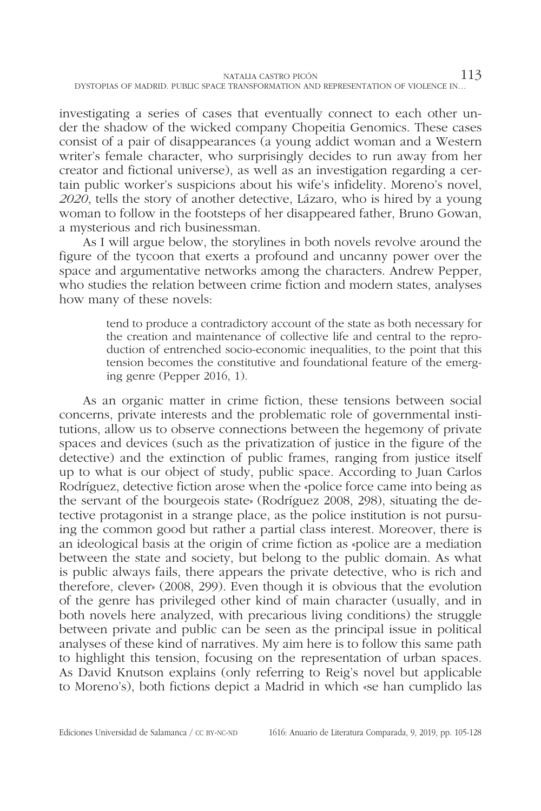investigating a series of cases that eventually connect to each other under the shadow of the wicked company Chopeitia Genomics. These cases consist of a pair of disappearances (a young addict woman and a Western writer's female character, who surprisingly decides to run away from her creator and fictional universe), as well as an investigation regarding a certain public worker's suspicions about his wife's infidelity. Moreno's novel, *2020*, tells the story of another detective, Lázaro, who is hired by a young woman to follow in the footsteps of her disappeared father, Bruno Gowan, a mysterious and rich businessman.

As I will argue below, the storylines in both novels revolve around the figure of the tycoon that exerts a profound and uncanny power over the space and argumentative networks among the characters. Andrew Pepper, who studies the relation between crime fiction and modern states, analyses how many of these novels:

> tend to produce a contradictory account of the state as both necessary for the creation and maintenance of collective life and central to the reproduction of entrenched socio-economic inequalities, to the point that this tension becomes the constitutive and foundational feature of the emerging genre (Pepper 2016, 1).

As an organic matter in crime fiction, these tensions between social concerns, private interests and the problematic role of governmental institutions, allow us to observe connections between the hegemony of private spaces and devices (such as the privatization of justice in the figure of the detective) and the extinction of public frames, ranging from justice itself up to what is our object of study, public space. According to Juan Carlos Rodríguez, detective fiction arose when the «police force came into being as the servant of the bourgeois state» (Rodríguez 2008, 298), situating the detective protagonist in a strange place, as the police institution is not pursuing the common good but rather a partial class interest. Moreover, there is an ideological basis at the origin of crime fiction as «police are a mediation between the state and society, but belong to the public domain. As what is public always fails, there appears the private detective, who is rich and therefore, clever» (2008, 299). Even though it is obvious that the evolution of the genre has privileged other kind of main character (usually, and in both novels here analyzed, with precarious living conditions) the struggle between private and public can be seen as the principal issue in political analyses of these kind of narratives. My aim here is to follow this same path to highlight this tension, focusing on the representation of urban spaces. As David Knutson explains (only referring to Reig's novel but applicable to Moreno's), both fictions depict a Madrid in which «se han cumplido las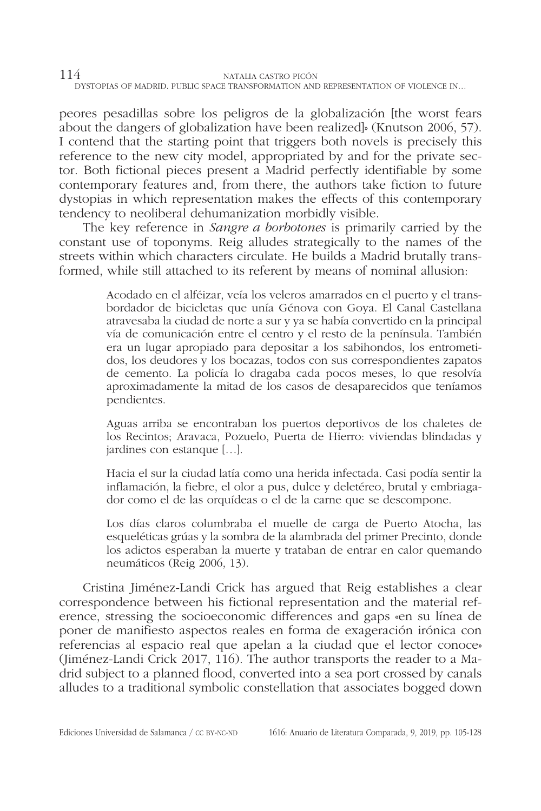peores pesadillas sobre los peligros de la globalización [the worst fears about the dangers of globalization have been realized]» (Knutson 2006, 57). I contend that the starting point that triggers both novels is precisely this reference to the new city model, appropriated by and for the private sector. Both fictional pieces present a Madrid perfectly identifiable by some contemporary features and, from there, the authors take fiction to future dystopias in which representation makes the effects of this contemporary tendency to neoliberal dehumanization morbidly visible.

The key reference in *Sangre a borbotones* is primarily carried by the constant use of toponyms. Reig alludes strategically to the names of the streets within which characters circulate. He builds a Madrid brutally transformed, while still attached to its referent by means of nominal allusion:

> Acodado en el alféizar, veía los veleros amarrados en el puerto y el transbordador de bicicletas que unía Génova con Goya. El Canal Castellana atravesaba la ciudad de norte a sur y ya se había convertido en la principal vía de comunicación entre el centro y el resto de la península. También era un lugar apropiado para depositar a los sabihondos, los entrometidos, los deudores y los bocazas, todos con sus correspondientes zapatos de cemento. La policía lo dragaba cada pocos meses, lo que resolvía aproximadamente la mitad de los casos de desaparecidos que teníamos pendientes.

> Aguas arriba se encontraban los puertos deportivos de los chaletes de los Recintos; Aravaca, Pozuelo, Puerta de Hierro: viviendas blindadas y jardines con estanque […].

> Hacia el sur la ciudad latía como una herida infectada. Casi podía sentir la inflamación, la fiebre, el olor a pus, dulce y deletéreo, brutal y embriagador como el de las orquídeas o el de la carne que se descompone.

> Los días claros columbraba el muelle de carga de Puerto Atocha, las esqueléticas grúas y la sombra de la alambrada del primer Precinto, donde los adictos esperaban la muerte y trataban de entrar en calor quemando neumáticos (Reig 2006, 13).

Cristina Jiménez-Landi Crick has argued that Reig establishes a clear correspondence between his fictional representation and the material reference, stressing the socioeconomic differences and gaps «en su línea de poner de manifiesto aspectos reales en forma de exageración irónica con referencias al espacio real que apelan a la ciudad que el lector conoce» (Jiménez-Landi Crick 2017, 116). The author transports the reader to a Madrid subject to a planned flood, converted into a sea port crossed by canals alludes to a traditional symbolic constellation that associates bogged down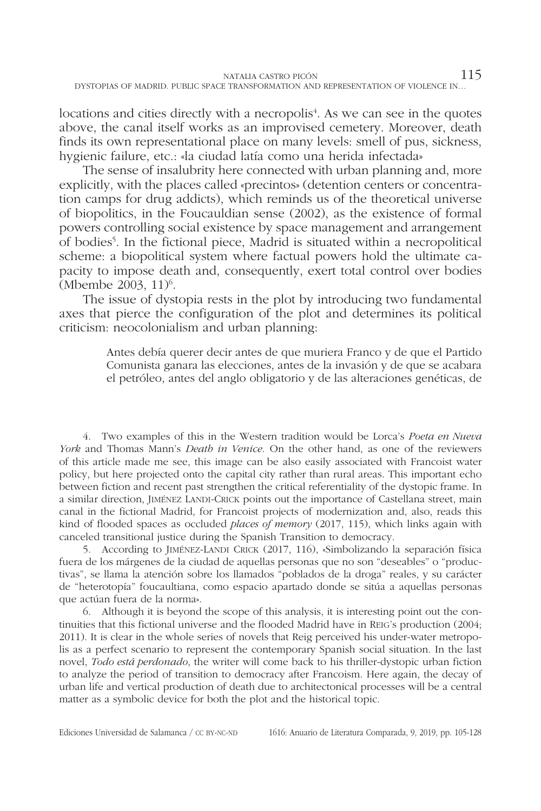locations and cities directly with a necropolis<sup>4</sup>. As we can see in the quotes above, the canal itself works as an improvised cemetery. Moreover, death finds its own representational place on many levels: smell of pus, sickness, hygienic failure, etc.: «la ciudad latía como una herida infectada»

The sense of insalubrity here connected with urban planning and, more explicitly, with the places called «precintos» (detention centers or concentration camps for drug addicts), which reminds us of the theoretical universe of biopolitics, in the Foucauldian sense (2002), as the existence of formal powers controlling social existence by space management and arrangement of bodies<sup>5</sup>. In the fictional piece, Madrid is situated within a necropolitical scheme: a biopolitical system where factual powers hold the ultimate capacity to impose death and, consequently, exert total control over bodies  $(Mbembe 2003, 11)<sup>6</sup>$ .

The issue of dystopia rests in the plot by introducing two fundamental axes that pierce the configuration of the plot and determines its political criticism: neocolonialism and urban planning:

> Antes debía querer decir antes de que muriera Franco y de que el Partido Comunista ganara las elecciones, antes de la invasión y de que se acabara el petróleo, antes del anglo obligatorio y de las alteraciones genéticas, de

4. Two examples of this in the Western tradition would be Lorca's *Poeta en Nueva York* and Thomas Mann's *Death in Venice*. On the other hand, as one of the reviewers of this article made me see, this image can be also easily associated with Francoist water policy, but here projected onto the capital city rather than rural areas. This important echo between fiction and recent past strengthen the critical referentiality of the dystopic frame. In a similar direction, JIMÉNEZ LANDI-CRICK points out the importance of Castellana street, main canal in the fictional Madrid, for Francoist projects of modernization and, also, reads this kind of flooded spaces as occluded *places of memory* (2017, 115), which links again with canceled transitional justice during the Spanish Transition to democracy.

5. According to Jiménez-Landi Crick (2017, 116), «Simbolizando la separación física fuera de los márgenes de la ciudad de aquellas personas que no son "deseables" o "productivas", se llama la atención sobre los llamados "poblados de la droga" reales, y su carácter de "heterotopía" foucaultiana, como espacio apartado donde se sitúa a aquellas personas que actúan fuera de la norma».

6. Although it is beyond the scope of this analysis, it is interesting point out the continuities that this fictional universe and the flooded Madrid have in Reig's production (2004; 2011). It is clear in the whole series of novels that Reig perceived his under-water metropolis as a perfect scenario to represent the contemporary Spanish social situation. In the last novel, *Todo está perdonado*, the writer will come back to his thriller-dystopic urban fiction to analyze the period of transition to democracy after Francoism. Here again, the decay of urban life and vertical production of death due to architectonical processes will be a central matter as a symbolic device for both the plot and the historical topic.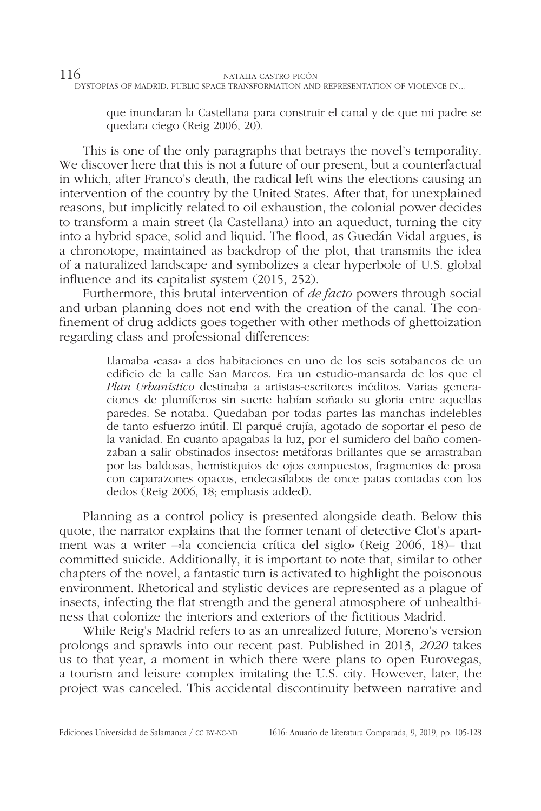que inundaran la Castellana para construir el canal y de que mi padre se quedara ciego (Reig 2006, 20).

This is one of the only paragraphs that betrays the novel's temporality. We discover here that this is not a future of our present, but a counterfactual in which, after Franco's death, the radical left wins the elections causing an intervention of the country by the United States. After that, for unexplained reasons, but implicitly related to oil exhaustion, the colonial power decides to transform a main street (la Castellana) into an aqueduct, turning the city into a hybrid space, solid and liquid. The flood, as Guedán Vidal argues, is a chronotope, maintained as backdrop of the plot, that transmits the idea of a naturalized landscape and symbolizes a clear hyperbole of U.S. global influence and its capitalist system (2015, 252).

Furthermore, this brutal intervention of *de facto* powers through social and urban planning does not end with the creation of the canal. The confinement of drug addicts goes together with other methods of ghettoization regarding class and professional differences:

> Llamaba «casa» a dos habitaciones en uno de los seis sotabancos de un edificio de la calle San Marcos. Era un estudio-mansarda de los que el *Plan Urbanístico* destinaba a artistas-escritores inéditos. Varias generaciones de plumíferos sin suerte habían soñado su gloria entre aquellas paredes. Se notaba. Quedaban por todas partes las manchas indelebles de tanto esfuerzo inútil. El parqué crujía, agotado de soportar el peso de la vanidad. En cuanto apagabas la luz, por el sumidero del baño comenzaban a salir obstinados insectos: metáforas brillantes que se arrastraban por las baldosas, hemistiquios de ojos compuestos, fragmentos de prosa con caparazones opacos, endecasílabos de once patas contadas con los dedos (Reig 2006, 18; emphasis added).

Planning as a control policy is presented alongside death. Below this quote, the narrator explains that the former tenant of detective Clot's apartment was a writer –«la conciencia crítica del siglo» (Reig 2006, 18)– that committed suicide. Additionally, it is important to note that, similar to other chapters of the novel, a fantastic turn is activated to highlight the poisonous environment. Rhetorical and stylistic devices are represented as a plague of insects, infecting the flat strength and the general atmosphere of unhealthiness that colonize the interiors and exteriors of the fictitious Madrid.

While Reig's Madrid refers to as an unrealized future, Moreno's version prolongs and sprawls into our recent past. Published in 2013, *2020* takes us to that year, a moment in which there were plans to open Eurovegas, a tourism and leisure complex imitating the U.S. city. However, later, the project was canceled. This accidental discontinuity between narrative and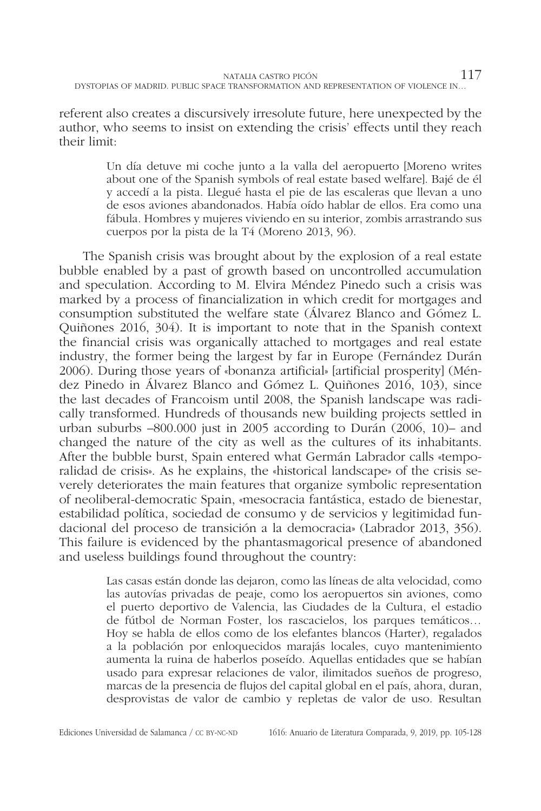referent also creates a discursively irresolute future, here unexpected by the author, who seems to insist on extending the crisis' effects until they reach their limit:

> Un día detuve mi coche junto a la valla del aeropuerto [Moreno writes about one of the Spanish symbols of real estate based welfare]. Bajé de él y accedí a la pista. Llegué hasta el pie de las escaleras que llevan a uno de esos aviones abandonados. Había oído hablar de ellos. Era como una fábula. Hombres y mujeres viviendo en su interior, zombis arrastrando sus cuerpos por la pista de la T4 (Moreno 2013, 96).

The Spanish crisis was brought about by the explosion of a real estate bubble enabled by a past of growth based on uncontrolled accumulation and speculation. According to M. Elvira Méndez Pinedo such a crisis was marked by a process of financialization in which credit for mortgages and consumption substituted the welfare state (Álvarez Blanco and Gómez L. Quiñones 2016, 304). It is important to note that in the Spanish context the financial crisis was organically attached to mortgages and real estate industry, the former being the largest by far in Europe (Fernández Durán 2006). During those years of «bonanza artificial» [artificial prosperity] (Méndez Pinedo in Álvarez Blanco and Gómez L. Quiñones 2016, 103), since the last decades of Francoism until 2008, the Spanish landscape was radically transformed. Hundreds of thousands new building projects settled in urban suburbs –800.000 just in 2005 according to Durán (2006, 10)– and changed the nature of the city as well as the cultures of its inhabitants. After the bubble burst, Spain entered what Germán Labrador calls «temporalidad de crisis». As he explains, the «historical landscape» of the crisis severely deteriorates the main features that organize symbolic representation of neoliberal-democratic Spain, «mesocracia fantástica, estado de bienestar, estabilidad política, sociedad de consumo y de servicios y legitimidad fundacional del proceso de transición a la democracia» (Labrador 2013, 356). This failure is evidenced by the phantasmagorical presence of abandoned and useless buildings found throughout the country:

> Las casas están donde las dejaron, como las líneas de alta velocidad, como las autovías privadas de peaje, como los aeropuertos sin aviones, como el puerto deportivo de Valencia, las Ciudades de la Cultura, el estadio de fútbol de Norman Foster, los rascacielos, los parques temáticos… Hoy se habla de ellos como de los elefantes blancos (Harter), regalados a la población por enloquecidos marajás locales, cuyo mantenimiento aumenta la ruina de haberlos poseído. Aquellas entidades que se habían usado para expresar relaciones de valor, ilimitados sueños de progreso, marcas de la presencia de flujos del capital global en el país, ahora, duran, desprovistas de valor de cambio y repletas de valor de uso. Resultan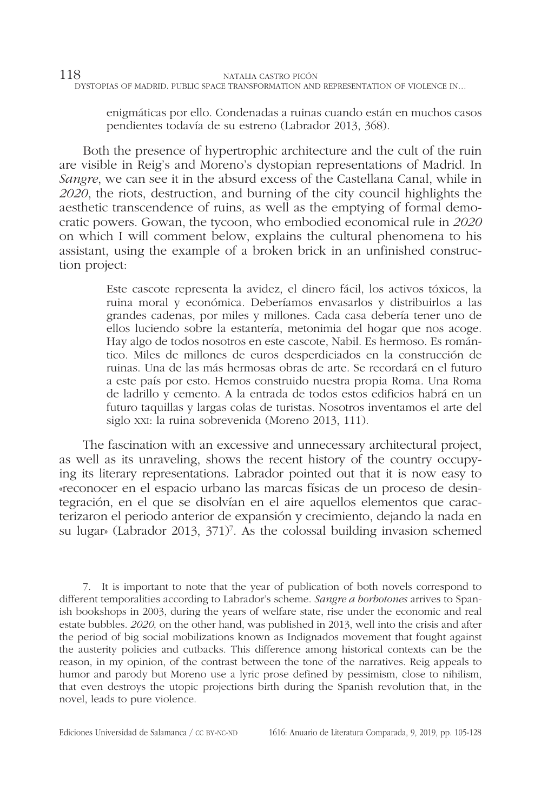enigmáticas por ello. Condenadas a ruinas cuando están en muchos casos pendientes todavía de su estreno (Labrador 2013, 368).

Both the presence of hypertrophic architecture and the cult of the ruin are visible in Reig's and Moreno's dystopian representations of Madrid. In *Sangre*, we can see it in the absurd excess of the Castellana Canal, while in *2020*, the riots, destruction, and burning of the city council highlights the aesthetic transcendence of ruins, as well as the emptying of formal democratic powers. Gowan, the tycoon, who embodied economical rule in *2020* on which I will comment below, explains the cultural phenomena to his assistant, using the example of a broken brick in an unfinished construction project:

> Este cascote representa la avidez, el dinero fácil, los activos tóxicos, la ruina moral y económica. Deberíamos envasarlos y distribuirlos a las grandes cadenas, por miles y millones. Cada casa debería tener uno de ellos luciendo sobre la estantería, metonimia del hogar que nos acoge. Hay algo de todos nosotros en este cascote, Nabil. Es hermoso. Es romántico. Miles de millones de euros desperdiciados en la construcción de ruinas. Una de las más hermosas obras de arte. Se recordará en el futuro a este país por esto. Hemos construido nuestra propia Roma. Una Roma de ladrillo y cemento. A la entrada de todos estos edificios habrá en un futuro taquillas y largas colas de turistas. Nosotros inventamos el arte del siglo xxi: la ruina sobrevenida (Moreno 2013, 111).

The fascination with an excessive and unnecessary architectural project, as well as its unraveling, shows the recent history of the country occupying its literary representations. Labrador pointed out that it is now easy to «reconocer en el espacio urbano las marcas físicas de un proceso de desintegración, en el que se disolvían en el aire aquellos elementos que caracterizaron el periodo anterior de expansión y crecimiento, dejando la nada en su lugar» (Labrador 2013, 371)<sup>7</sup>. As the colossal building invasion schemed

7. It is important to note that the year of publication of both novels correspond to different temporalities according to Labrador's scheme. *Sangre a borbotones* arrives to Spanish bookshops in 2003, during the years of welfare state, rise under the economic and real estate bubbles. *2020,* on the other hand, was published in 2013, well into the crisis and after the period of big social mobilizations known as Indignados movement that fought against the austerity policies and cutbacks. This difference among historical contexts can be the reason, in my opinion, of the contrast between the tone of the narratives. Reig appeals to humor and parody but Moreno use a lyric prose defined by pessimism, close to nihilism, that even destroys the utopic projections birth during the Spanish revolution that, in the novel, leads to pure violence.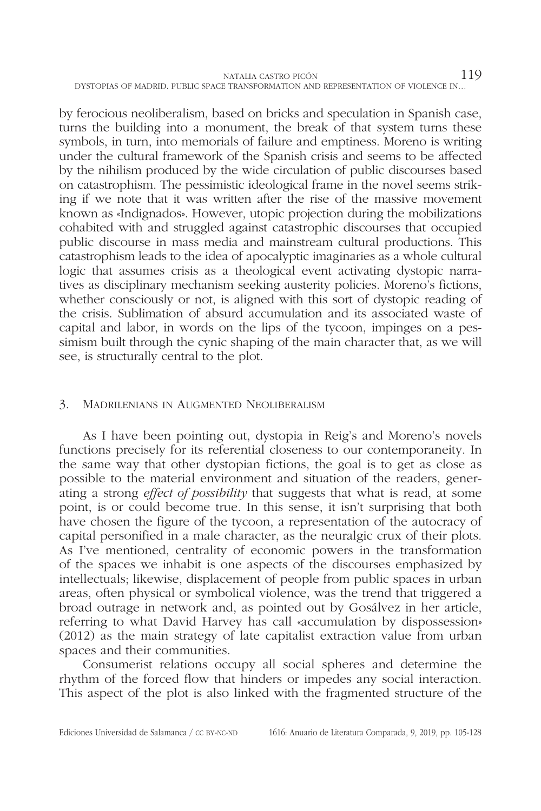by ferocious neoliberalism, based on bricks and speculation in Spanish case, turns the building into a monument, the break of that system turns these symbols, in turn, into memorials of failure and emptiness. Moreno is writing under the cultural framework of the Spanish crisis and seems to be affected by the nihilism produced by the wide circulation of public discourses based on catastrophism. The pessimistic ideological frame in the novel seems striking if we note that it was written after the rise of the massive movement known as «Indignados». However, utopic projection during the mobilizations cohabited with and struggled against catastrophic discourses that occupied public discourse in mass media and mainstream cultural productions. This catastrophism leads to the idea of apocalyptic imaginaries as a whole cultural logic that assumes crisis as a theological event activating dystopic narratives as disciplinary mechanism seeking austerity policies. Moreno's fictions, whether consciously or not, is aligned with this sort of dystopic reading of the crisis. Sublimation of absurd accumulation and its associated waste of capital and labor, in words on the lips of the tycoon, impinges on a pessimism built through the cynic shaping of the main character that, as we will see, is structurally central to the plot.

## 3. Madrilenians in Augmented Neoliberalism

As I have been pointing out, dystopia in Reig's and Moreno's novels functions precisely for its referential closeness to our contemporaneity. In the same way that other dystopian fictions, the goal is to get as close as possible to the material environment and situation of the readers, generating a strong *effect of possibility* that suggests that what is read, at some point, is or could become true. In this sense, it isn't surprising that both have chosen the figure of the tycoon, a representation of the autocracy of capital personified in a male character, as the neuralgic crux of their plots. As I've mentioned, centrality of economic powers in the transformation of the spaces we inhabit is one aspects of the discourses emphasized by intellectuals; likewise, displacement of people from public spaces in urban areas, often physical or symbolical violence, was the trend that triggered a broad outrage in network and, as pointed out by Gosálvez in her article, referring to what David Harvey has call «accumulation by dispossession» (2012) as the main strategy of late capitalist extraction value from urban spaces and their communities.

Consumerist relations occupy all social spheres and determine the rhythm of the forced flow that hinders or impedes any social interaction. This aspect of the plot is also linked with the fragmented structure of the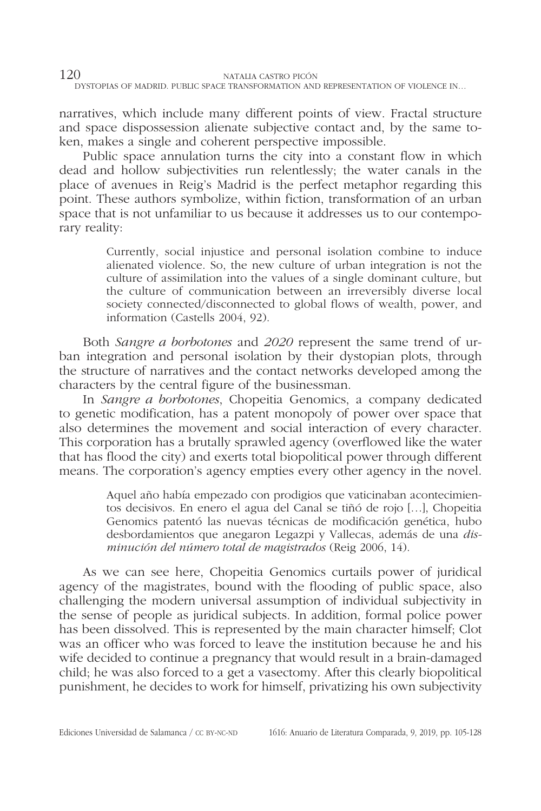narratives, which include many different points of view. Fractal structure and space dispossession alienate subjective contact and, by the same token, makes a single and coherent perspective impossible.

Public space annulation turns the city into a constant flow in which dead and hollow subjectivities run relentlessly; the water canals in the place of avenues in Reig's Madrid is the perfect metaphor regarding this point. These authors symbolize, within fiction, transformation of an urban space that is not unfamiliar to us because it addresses us to our contemporary reality:

> Currently, social injustice and personal isolation combine to induce alienated violence. So, the new culture of urban integration is not the culture of assimilation into the values of a single dominant culture, but the culture of communication between an irreversibly diverse local society connected/disconnected to global flows of wealth, power, and information (Castells 2004, 92).

Both *Sangre a borbotones* and *2020* represent the same trend of urban integration and personal isolation by their dystopian plots, through the structure of narratives and the contact networks developed among the characters by the central figure of the businessman.

In *Sangre a borbotones*, Chopeitia Genomics, a company dedicated to genetic modification, has a patent monopoly of power over space that also determines the movement and social interaction of every character. This corporation has a brutally sprawled agency (overflowed like the water that has flood the city) and exerts total biopolitical power through different means. The corporation's agency empties every other agency in the novel.

> Aquel año había empezado con prodigios que vaticinaban acontecimientos decisivos. En enero el agua del Canal se tiñó de rojo […], Chopeitia Genomics patentó las nuevas técnicas de modificación genética, hubo desbordamientos que anegaron Legazpi y Vallecas, además de una *disminución del número total de magistrados* (Reig 2006, 14).

As we can see here, Chopeitia Genomics curtails power of juridical agency of the magistrates, bound with the flooding of public space, also challenging the modern universal assumption of individual subjectivity in the sense of people as juridical subjects. In addition, formal police power has been dissolved. This is represented by the main character himself; Clot was an officer who was forced to leave the institution because he and his wife decided to continue a pregnancy that would result in a brain-damaged child; he was also forced to a get a vasectomy. After this clearly biopolitical punishment, he decides to work for himself, privatizing his own subjectivity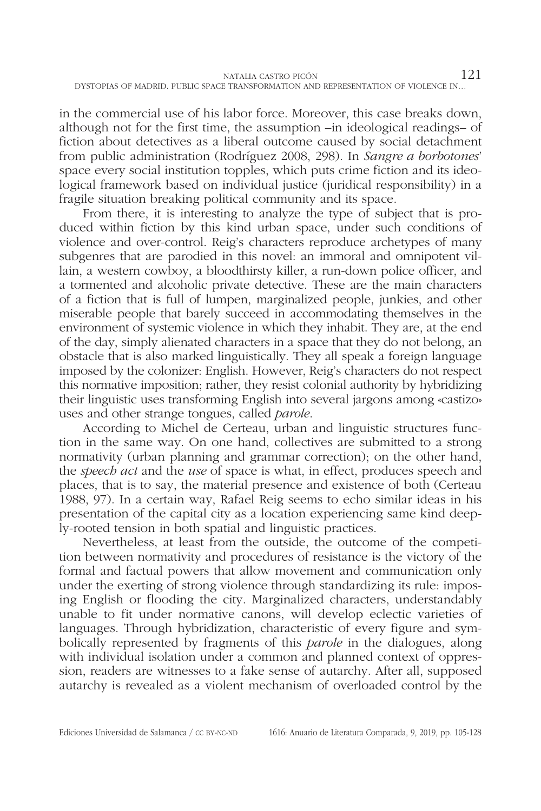in the commercial use of his labor force. Moreover, this case breaks down, although not for the first time, the assumption –in ideological readings– of fiction about detectives as a liberal outcome caused by social detachment from public administration (Rodríguez 2008, 298). In *Sangre a borbotones*' space every social institution topples, which puts crime fiction and its ideological framework based on individual justice (juridical responsibility) in a fragile situation breaking political community and its space.

From there, it is interesting to analyze the type of subject that is produced within fiction by this kind urban space, under such conditions of violence and over-control. Reig's characters reproduce archetypes of many subgenres that are parodied in this novel: an immoral and omnipotent villain, a western cowboy, a bloodthirsty killer, a run-down police officer, and a tormented and alcoholic private detective. These are the main characters of a fiction that is full of lumpen, marginalized people, junkies, and other miserable people that barely succeed in accommodating themselves in the environment of systemic violence in which they inhabit. They are, at the end of the day, simply alienated characters in a space that they do not belong, an obstacle that is also marked linguistically. They all speak a foreign language imposed by the colonizer: English. However, Reig's characters do not respect this normative imposition; rather, they resist colonial authority by hybridizing their linguistic uses transforming English into several jargons among «castizo» uses and other strange tongues, called *parole*.

According to Michel de Certeau, urban and linguistic structures function in the same way. On one hand, collectives are submitted to a strong normativity (urban planning and grammar correction); on the other hand, the *speech act* and the *use* of space is what, in effect, produces speech and places, that is to say, the material presence and existence of both (Certeau 1988, 97). In a certain way, Rafael Reig seems to echo similar ideas in his presentation of the capital city as a location experiencing same kind deeply-rooted tension in both spatial and linguistic practices.

Nevertheless, at least from the outside, the outcome of the competition between normativity and procedures of resistance is the victory of the formal and factual powers that allow movement and communication only under the exerting of strong violence through standardizing its rule: imposing English or flooding the city. Marginalized characters, understandably unable to fit under normative canons, will develop eclectic varieties of languages. Through hybridization, characteristic of every figure and symbolically represented by fragments of this *parole* in the dialogues, along with individual isolation under a common and planned context of oppression, readers are witnesses to a fake sense of autarchy. After all, supposed autarchy is revealed as a violent mechanism of overloaded control by the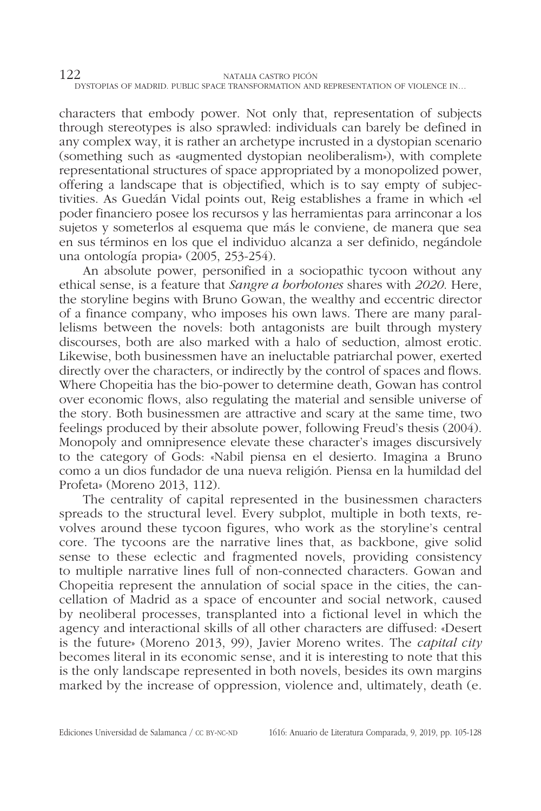characters that embody power. Not only that, representation of subjects through stereotypes is also sprawled: individuals can barely be defined in any complex way, it is rather an archetype incrusted in a dystopian scenario (something such as «augmented dystopian neoliberalism»), with complete representational structures of space appropriated by a monopolized power, offering a landscape that is objectified, which is to say empty of subjectivities. As Guedán Vidal points out, Reig establishes a frame in which «el poder financiero posee los recursos y las herramientas para arrinconar a los sujetos y someterlos al esquema que más le conviene, de manera que sea en sus términos en los que el individuo alcanza a ser definido, negándole una ontología propia» (2005, 253-254).

An absolute power, personified in a sociopathic tycoon without any ethical sense, is a feature that *Sangre a borbotones* shares with *2020*. Here, the storyline begins with Bruno Gowan, the wealthy and eccentric director of a finance company, who imposes his own laws. There are many parallelisms between the novels: both antagonists are built through mystery discourses, both are also marked with a halo of seduction, almost erotic. Likewise, both businessmen have an ineluctable patriarchal power, exerted directly over the characters, or indirectly by the control of spaces and flows. Where Chopeitia has the bio-power to determine death, Gowan has control over economic flows, also regulating the material and sensible universe of the story. Both businessmen are attractive and scary at the same time, two feelings produced by their absolute power, following Freud's thesis (2004). Monopoly and omnipresence elevate these character's images discursively to the category of Gods: «Nabil piensa en el desierto. Imagina a Bruno como a un dios fundador de una nueva religión. Piensa en la humildad del Profeta» (Moreno 2013, 112).

The centrality of capital represented in the businessmen characters spreads to the structural level. Every subplot, multiple in both texts, revolves around these tycoon figures, who work as the storyline's central core. The tycoons are the narrative lines that, as backbone, give solid sense to these eclectic and fragmented novels, providing consistency to multiple narrative lines full of non-connected characters. Gowan and Chopeitia represent the annulation of social space in the cities, the cancellation of Madrid as a space of encounter and social network, caused by neoliberal processes, transplanted into a fictional level in which the agency and interactional skills of all other characters are diffused: «Desert is the future» (Moreno 2013, 99), Javier Moreno writes. The *capital city* becomes literal in its economic sense, and it is interesting to note that this is the only landscape represented in both novels, besides its own margins marked by the increase of oppression, violence and, ultimately, death (e.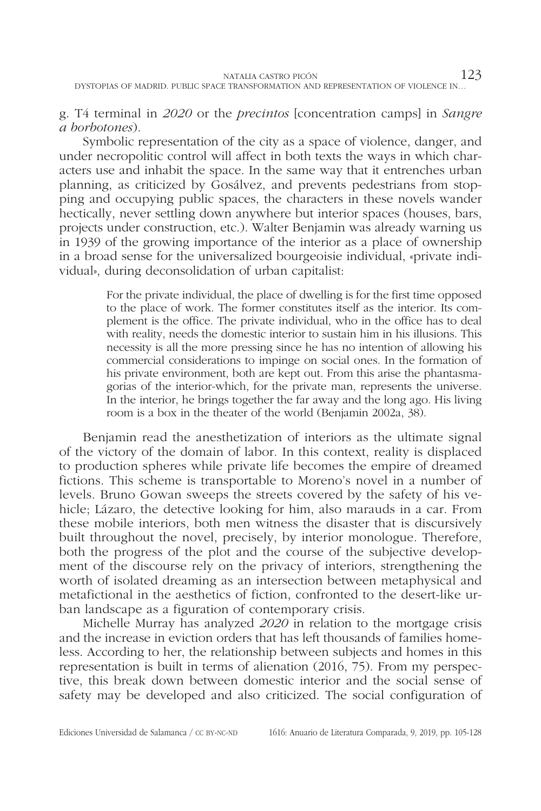g. T4 terminal in *2020* or the *precintos* [concentration camps] in *Sangre a borbotones*).

Symbolic representation of the city as a space of violence, danger, and under necropolitic control will affect in both texts the ways in which characters use and inhabit the space. In the same way that it entrenches urban planning, as criticized by Gosálvez, and prevents pedestrians from stopping and occupying public spaces, the characters in these novels wander hectically, never settling down anywhere but interior spaces (houses, bars, projects under construction, etc.). Walter Benjamin was already warning us in 1939 of the growing importance of the interior as a place of ownership in a broad sense for the universalized bourgeoisie individual, «private individual», during deconsolidation of urban capitalist:

> For the private individual, the place of dwelling is for the first time opposed to the place of work. The former constitutes itself as the interior. Its complement is the office. The private individual, who in the office has to deal with reality, needs the domestic interior to sustain him in his illusions. This necessity is all the more pressing since he has no intention of allowing his commercial considerations to impinge on social ones. In the formation of his private environment, both are kept out. From this arise the phantasmagorias of the interior-which, for the private man, represents the universe. In the interior, he brings together the far away and the long ago. His living room is a box in the theater of the world (Benjamin 2002a, 38).

Benjamin read the anesthetization of interiors as the ultimate signal of the victory of the domain of labor. In this context, reality is displaced to production spheres while private life becomes the empire of dreamed fictions. This scheme is transportable to Moreno's novel in a number of levels. Bruno Gowan sweeps the streets covered by the safety of his vehicle; Lázaro, the detective looking for him, also marauds in a car. From these mobile interiors, both men witness the disaster that is discursively built throughout the novel, precisely, by interior monologue. Therefore, both the progress of the plot and the course of the subjective development of the discourse rely on the privacy of interiors, strengthening the worth of isolated dreaming as an intersection between metaphysical and metafictional in the aesthetics of fiction, confronted to the desert-like urban landscape as a figuration of contemporary crisis.

Michelle Murray has analyzed *2020* in relation to the mortgage crisis and the increase in eviction orders that has left thousands of families homeless. According to her, the relationship between subjects and homes in this representation is built in terms of alienation (2016, 75). From my perspective, this break down between domestic interior and the social sense of safety may be developed and also criticized. The social configuration of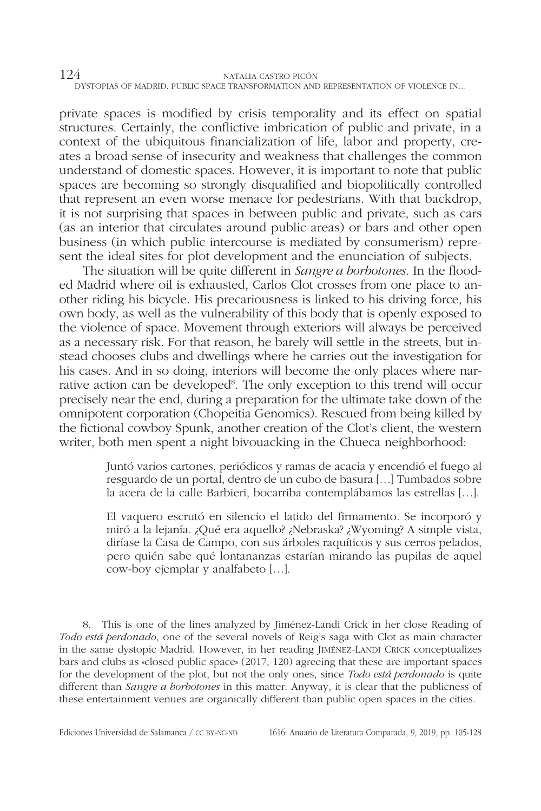private spaces is modified by crisis temporality and its effect on spatial structures. Certainly, the conflictive imbrication of public and private, in a context of the ubiquitous financialization of life, labor and property, creates a broad sense of insecurity and weakness that challenges the common understand of domestic spaces. However, it is important to note that public spaces are becoming so strongly disqualified and biopolitically controlled that represent an even worse menace for pedestrians. With that backdrop, it is not surprising that spaces in between public and private, such as cars (as an interior that circulates around public areas) or bars and other open business (in which public intercourse is mediated by consumerism) represent the ideal sites for plot development and the enunciation of subjects.

The situation will be quite different in *Sangre a borbotones*. In the flooded Madrid where oil is exhausted, Carlos Clot crosses from one place to another riding his bicycle. His precariousness is linked to his driving force, his own body, as well as the vulnerability of this body that is openly exposed to the violence of space. Movement through exteriors will always be perceived as a necessary risk. For that reason, he barely will settle in the streets, but instead chooses clubs and dwellings where he carries out the investigation for his cases. And in so doing, interiors will become the only places where narrative action can be developed<sup>8</sup>. The only exception to this trend will occur precisely near the end, during a preparation for the ultimate take down of the omnipotent corporation (Chopeitia Genomics). Rescued from being killed by the fictional cowboy Spunk, another creation of the Clot's client, the western writer, both men spent a night bivouacking in the Chueca neighborhood:

> Juntó varios cartones, periódicos y ramas de acacia y encendió el fuego al resguardo de un portal, dentro de un cubo de basura […] Tumbados sobre la acera de la calle Barbieri, bocarriba contemplábamos las estrellas […].

> El vaquero escrutó en silencio el latido del firmamento. Se incorporó y miró a la lejanía. ¿Qué era aquello? ¿Nebraska? ¿Wyoming? A simple vista, diríase la Casa de Campo, con sus árboles raquíticos y sus cerros pelados, pero quién sabe qué lontananzas estarían mirando las pupilas de aquel cow-boy ejemplar y analfabeto […].

8. This is one of the lines analyzed by Jiménez-Landi Crick in her close Reading of *Todo está perdonado*, one of the several novels of Reig's saga with Clot as main character in the same dystopic Madrid. However, in her reading Jiménez-Landi Crick conceptualizes bars and clubs as «closed public space» (2017, 120) agreeing that these are important spaces for the development of the plot, but not the only ones, since *Todo está perdonado* is quite different than *Sangre a borbotones* in this matter. Anyway, it is clear that the publicness of these entertainment venues are organically different than public open spaces in the cities.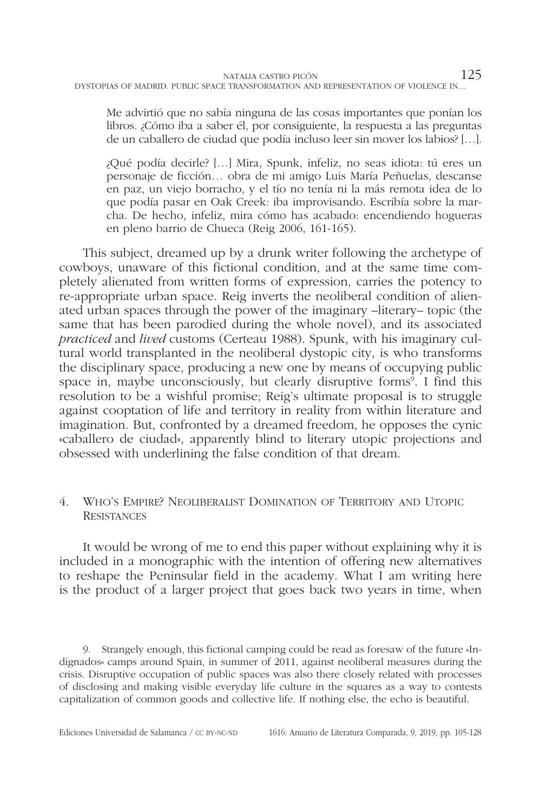Me advirtió que no sabía ninguna de las cosas importantes que ponían los libros. ¿Cómo iba a saber él, por consiguiente, la respuesta a las preguntas de un caballero de ciudad que podía incluso leer sin mover los labios? […].

¿Qué podía decirle? […] Mira, Spunk, infeliz, no seas idiota: tú eres un personaje de ficción… obra de mi amigo Luis María Peñuelas, descanse en paz, un viejo borracho, y el tío no tenía ni la más remota idea de lo que podía pasar en Oak Creek: iba improvisando. Escribía sobre la marcha. De hecho, infeliz, mira cómo has acabado: encendiendo hogueras en pleno barrio de Chueca (Reig 2006, 161-165).

This subject, dreamed up by a drunk writer following the archetype of cowboys, unaware of this fictional condition, and at the same time completely alienated from written forms of expression, carries the potency to re-appropriate urban space. Reig inverts the neoliberal condition of alienated urban spaces through the power of the imaginary –literary– topic (the same that has been parodied during the whole novel), and its associated *practiced* and *lived* customs (Certeau 1988). Spunk, with his imaginary cultural world transplanted in the neoliberal dystopic city, is who transforms the disciplinary space, producing a new one by means of occupying public space in, maybe unconsciously, but clearly disruptive forms<sup>9</sup>. I find this resolution to be a wishful promise; Reig's ultimate proposal is to struggle against cooptation of life and territory in reality from within literature and imagination. But, confronted by a dreamed freedom, he opposes the cynic «caballero de ciudad», apparently blind to literary utopic projections and obsessed with underlining the false condition of that dream.

## 4. Who's Empire? Neoliberalist Domination of Territory and Utopic **RESISTANCES**

It would be wrong of me to end this paper without explaining why it is included in a monographic with the intention of offering new alternatives to reshape the Peninsular field in the academy. What I am writing here is the product of a larger project that goes back two years in time, when

9. Strangely enough, this fictional camping could be read as foresaw of the future «Indignados» camps around Spain, in summer of 2011, against neoliberal measures during the crisis. Disruptive occupation of public spaces was also there closely related with processes of disclosing and making visible everyday life culture in the squares as a way to contests capitalization of common goods and collective life. If nothing else, the echo is beautiful.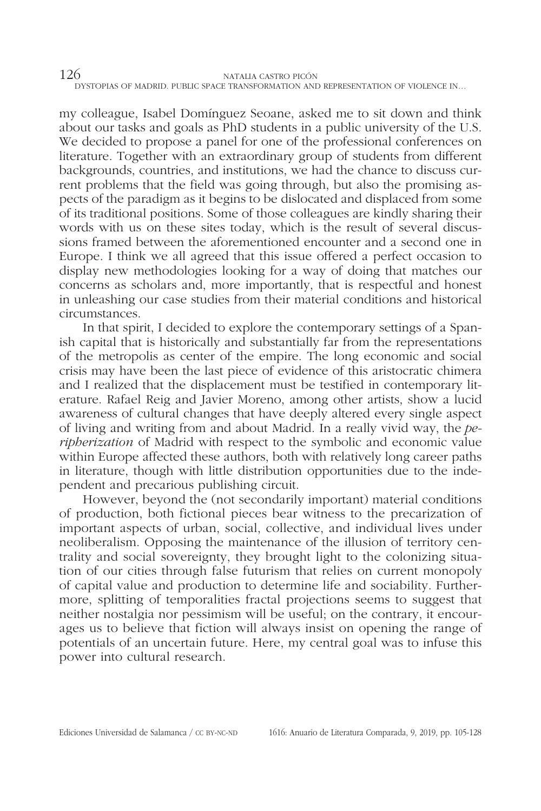my colleague, Isabel Domínguez Seoane, asked me to sit down and think about our tasks and goals as PhD students in a public university of the U.S. We decided to propose a panel for one of the professional conferences on literature. Together with an extraordinary group of students from different backgrounds, countries, and institutions, we had the chance to discuss current problems that the field was going through, but also the promising aspects of the paradigm as it begins to be dislocated and displaced from some of its traditional positions. Some of those colleagues are kindly sharing their words with us on these sites today, which is the result of several discussions framed between the aforementioned encounter and a second one in Europe. I think we all agreed that this issue offered a perfect occasion to display new methodologies looking for a way of doing that matches our concerns as scholars and, more importantly, that is respectful and honest in unleashing our case studies from their material conditions and historical circumstances.

In that spirit, I decided to explore the contemporary settings of a Spanish capital that is historically and substantially far from the representations of the metropolis as center of the empire. The long economic and social crisis may have been the last piece of evidence of this aristocratic chimera and I realized that the displacement must be testified in contemporary literature. Rafael Reig and Javier Moreno, among other artists, show a lucid awareness of cultural changes that have deeply altered every single aspect of living and writing from and about Madrid. In a really vivid way, the *peripherization* of Madrid with respect to the symbolic and economic value within Europe affected these authors, both with relatively long career paths in literature, though with little distribution opportunities due to the independent and precarious publishing circuit.

However, beyond the (not secondarily important) material conditions of production, both fictional pieces bear witness to the precarization of important aspects of urban, social, collective, and individual lives under neoliberalism. Opposing the maintenance of the illusion of territory centrality and social sovereignty, they brought light to the colonizing situation of our cities through false futurism that relies on current monopoly of capital value and production to determine life and sociability. Furthermore, splitting of temporalities fractal projections seems to suggest that neither nostalgia nor pessimism will be useful; on the contrary, it encourages us to believe that fiction will always insist on opening the range of potentials of an uncertain future. Here, my central goal was to infuse this power into cultural research.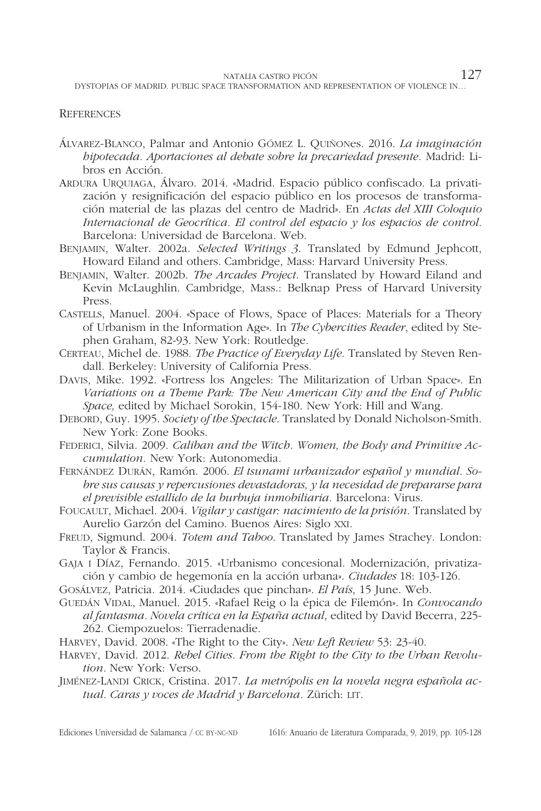#### **REFERENCES**

- Álvarez-Blanco, Palmar and Antonio Gómez L. Quiñones. 2016. *La imaginación hipotecada. Aportaciones al debate sobre la precariedad presente.* Madrid: Libros en Acción.
- Ardura Urquiaga, Álvaro. 2014. «Madrid. Espacio público confiscado. La privatización y resignificación del espacio público en los procesos de transformación material de las plazas del centro de Madrid». En *Actas del XIII Coloquio Internacional de Geocrítica. El control del espacio y los espacios de control.* Barcelona: Universidad de Barcelona. Web.
- Benjamin, Walter. 2002a. *Selected Writings 3*. Translated by Edmund Jephcott, Howard Eiland and others. Cambridge, Mass: Harvard University Press.
- Benjamin, Walter. 2002b. *The Arcades Project*. Translated by Howard Eiland and Kevin McLaughlin. Cambridge, Mass.: Belknap Press of Harvard University Press.
- Castells, Manuel. 2004. «Space of Flows, Space of Places: Materials for a Theory of Urbanism in the Information Age». In *The Cybercities Reader*, edited by Stephen Graham, 82-93. New York: Routledge.
- CERTEAU, Michel de. 1988. *The Practice of Everyday Life*. Translated by Steven Rendall. Berkeley: University of California Press.
- Davis, Mike. 1992. «Fortress los Angeles: The Militarization of Urban Space». En *Variations on a Theme Park: The New American City and the End of Public Space,* edited by Michael Sorokin, 154-180. New York: Hill and Wang.
- Debord, Guy. 1995. *Society of the Spectacle*. Translated by Donald Nicholson-Smith. New York: Zone Books.

FEDERICI, Silvia. 2009. *Caliban and the Witch. Women, the Body and Primitive Accumulation.* New York: Autonomedia.

- Fernández Durán, Ramón. 2006. *El tsunami urbanizador español y mundial. Sobre sus causas y repercusiones devastadoras, y la necesidad de prepararse para el previsible estallido de la burbuja inmobiliaria.* Barcelona: Virus.
- Foucault, Michael. 2004. *Vigilar y castigar: nacimiento de la prisión*. Translated by Aurelio Garzón del Camino. Buenos Aires: Siglo xxi.
- Freud, Sigmund. 2004. *Totem and Taboo*. Translated by James Strachey. London: Taylor & Francis.
- Gaja i Díaz, Fernando. 2015. «Urbanismo concesional. Modernización, privatización y cambio de hegemonía en la acción urbana». *Ciudades* 18: 103-126.
- Gosálvez, Patricia. 2014. «Ciudades que pinchan». *El País*, 15 June. Web.
- Guedán Vidal, Manuel. 2015. «Rafael Reig o la épica de Filemón». In *Convocando al fantasma. Novela crítica en la España actual*, edited by David Becerra, 225- 262. Ciempozuelos: Tierradenadie.
- Harvey, David. 2008. «The Right to the City». *New Left Review* 53: 23-40.
- Harvey, David. 2012. *Rebel Cities. From the Right to the City to the Urban Revolution.* New York: Verso.
- Jiménez-Landi Crick, Cristina. 2017. *La metrópolis en la novela negra española ac*tual. Caras y voces de Madrid y Barcelona. Zürich: LIT.